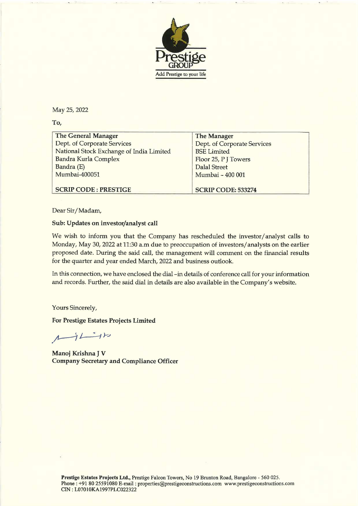

To,

| Add Prestige to your life                                               |                                           |
|-------------------------------------------------------------------------|-------------------------------------------|
| May 25, 2022                                                            |                                           |
| To,                                                                     |                                           |
| <b>The General Manager</b>                                              | <b>The Manager</b>                        |
| Dept. of Corporate Services                                             | <b>Dept. of Corporate Services</b>        |
| National Stock Exchange of India Limited<br><b>Bandra Kurla Complex</b> | <b>BSE</b> Limited<br>Floor 25, PJ Towers |
| Bandra (E)                                                              | <b>Dalal Street</b>                       |
| Mumbai-400051                                                           | Mumbai - 400 001                          |
|                                                                         |                                           |
| <b>SCRIP CODE: PRESTIGE</b>                                             | <b>SCRIP CODE: 533274</b>                 |

Dear Sir/Madam,

## Sub: Updates on investor/analyst call

We wish to inform you that the Company has rescheduled the investor/analyst calls to Monday, May 30, 2022 at 11:30 a.m due to preoccupation of investors/analysts on the earlier proposed date. During the said call, the management will comment on the financial results for the quarter and year ended March, 2022 and business outlook.

In this connection, we have enclosed the dial -in details of conference call for your information and records. Further, the said dial in details are also available in the Company's website.

Yours Sincerely,

For Prestige Estates Projects Limited

 $42$ 

Manoj Krishna J V Company Secretary and Compliance Officer